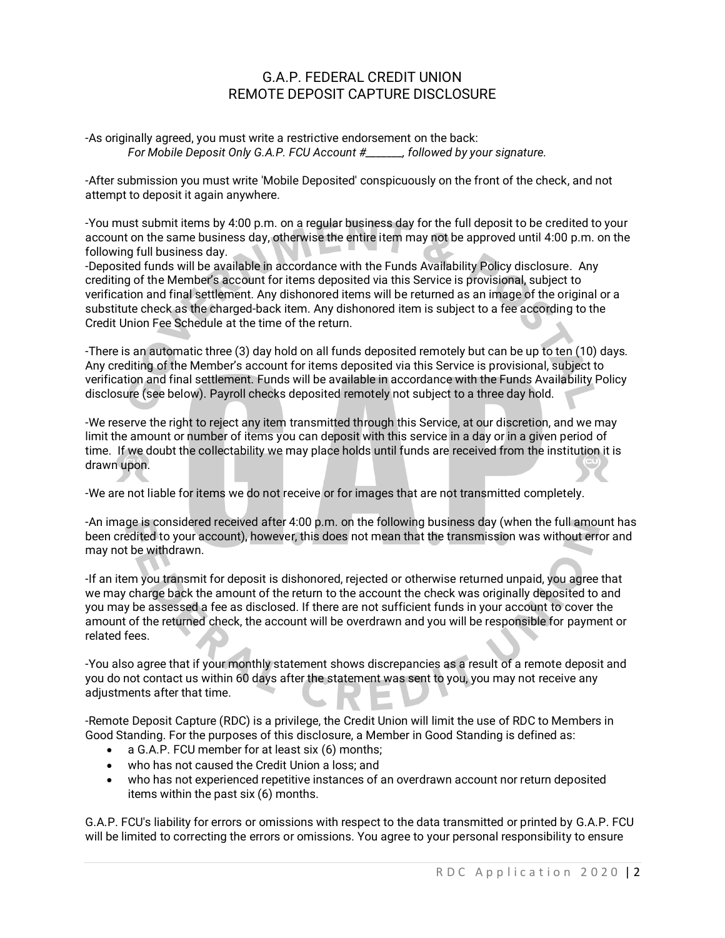## G.A.P. FEDERAL CREDIT UNION REMOTE DEPOSIT CAPTURE DISCLOSURE

-As originally agreed, you must write a restrictive endorsement on the back: *For Mobile Deposit Only G.A.P. FCU Account #\_\_\_\_\_\_\_, followed by your signature.*

-After submission you must write 'Mobile Deposited' conspicuously on the front of the check, and not attempt to deposit it again anywhere.

-You must submit items by 4:00 p.m. on a regular business day for the full deposit to be credited to your account on the same business day, otherwise the entire item may not be approved until 4:00 p.m. on the following full business day.

-Deposited funds will be available in accordance with the Funds Availability Policy disclosure. Any crediting of the Member's account for items deposited via this Service is provisional, subject to verification and final settlement. Any dishonored items will be returned as an image of the original or a substitute check as the charged-back item. Any dishonored item is subject to a fee according to the Credit Union Fee Schedule at the time of the return.

-There is an automatic three (3) day hold on all funds deposited remotely but can be up to ten (10) days. Any crediting of the Member's account for items deposited via this Service is provisional, subject to verification and final settlement. Funds will be available in accordance with the Funds Availability Policy disclosure (see below). Payroll checks deposited remotely not subject to a three day hold.

-We reserve the right to reject any item transmitted through this Service, at our discretion, and we may limit the amount or number of items you can deposit with this service in a day or in a given period of time. If we doubt the collectability we may place holds until funds are received from the institution it is drawn upon.

-We are not liable for items we do not receive or for images that are not transmitted completely.

-An image is considered received after 4:00 p.m. on the following business day (when the full amount has been credited to your account), however, this does not mean that the transmission was without error and may not be withdrawn.

-If an item you transmit for deposit is dishonored, rejected or otherwise returned unpaid, you agree that we may charge back the amount of the return to the account the check was originally deposited to and you may be assessed a fee as disclosed. If there are not sufficient funds in your account to cover the amount of the returned check, the account will be overdrawn and you will be responsible for payment or related fees.

-You also agree that if your monthly statement shows discrepancies as a result of a remote deposit and you do not contact us within 60 days after the statement was sent to you, you may not receive any adjustments after that time.

-Remote Deposit Capture (RDC) is a privilege, the Credit Union will limit the use of RDC to Members in Good Standing. For the purposes of this disclosure, a Member in Good Standing is defined as:

- a G.A.P. FCU member for at least six (6) months;
- who has not caused the Credit Union a loss; and
- who has not experienced repetitive instances of an overdrawn account nor return deposited items within the past six (6) months.

G.A.P. FCU's liability for errors or omissions with respect to the data transmitted or printed by G.A.P. FCU will be limited to correcting the errors or omissions. You agree to your personal responsibility to ensure